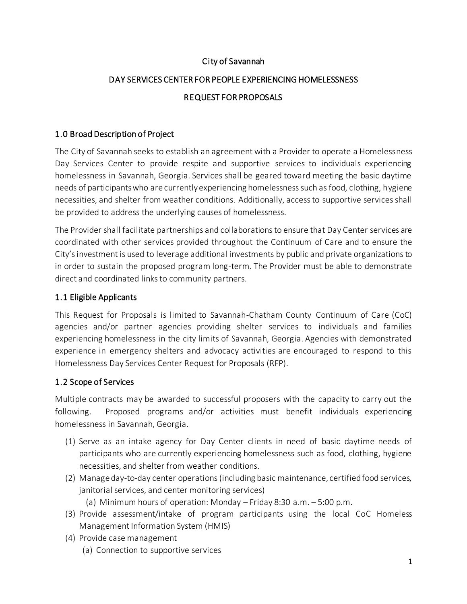## City of Savannah

# DAY SERVICES CENTER FOR PEOPLE EXPERIENCING HOMELESSNESS REQUEST FOR PROPOSALS

#### 1.0 Broad Description of Project

The City of Savannah seeks to establish an agreement with a Provider to operate a Homelessness Day Services Center to provide respite and supportive services to individuals experiencing homelessness in Savannah, Georgia. Services shall be geared toward meeting the basic daytime needs of participants who are currently experiencing homelessness such as food, clothing, hygiene necessities, and shelter from weather conditions. Additionally, access to supportive services shall be provided to address the underlying causes of homelessness.

The Provider shall facilitate partnerships and collaborations to ensure that Day Center services are coordinated with other services provided throughout the Continuum of Care and to ensure the City's investment is used to leverage additional investments by public and private organizations to in order to sustain the proposed program long-term. The Provider must be able to demonstrate direct and coordinated links to community partners.

#### 1.1 Eligible Applicants

This Request for Proposals is limited to Savannah-Chatham County Continuum of Care (CoC) agencies and/or partner agencies providing shelter services to individuals and families experiencing homelessness in the city limits of Savannah, Georgia. Agencies with demonstrated experience in emergency shelters and advocacy activities are encouraged to respond to this Homelessness Day Services Center Request for Proposals (RFP).

## 1.2 Scope of Services

Multiple contracts may be awarded to successful proposers with the capacity to carry out the following. Proposed programs and/or activities must benefit individuals experiencing homelessness in Savannah, Georgia.

- (1) Serve as an intake agency for Day Center clients in need of basic daytime needs of participants who are currently experiencing homelessness such as food, clothing, hygiene necessities, and shelter from weather conditions.
- (2) Manage day-to-day center operations (including basic maintenance, certified food services, janitorial services, and center monitoring services)
	- (a) Minimum hours of operation: Monday Friday 8:30 a.m. 5:00 p.m.
- (3) Provide assessment/intake of program participants using the local CoC Homeless Management Information System (HMIS)
- (4) Provide case management
	- (a) Connection to supportive services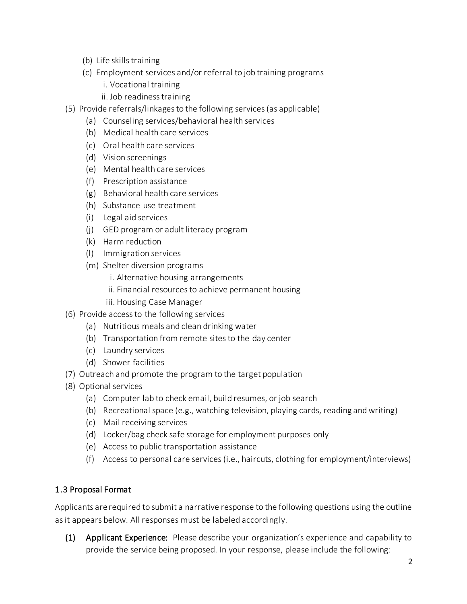- (b) Life skills training
- (c) Employment services and/or referral to job training programs
	- i. Vocational training
	- ii. Job readiness training
- (5) Provide referrals/linkages to the following services (as applicable)
	- (a) Counseling services/behavioral health services
	- (b) Medical health care services
	- (c) Oral health care services
	- (d) Vision screenings
	- (e) Mental health care services
	- (f) Prescription assistance
	- (g) Behavioral health care services
	- (h) Substance use treatment
	- (i) Legal aid services
	- (j) GED program or adult literacy program
	- (k) Harm reduction
	- (l) Immigration services
	- (m) Shelter diversion programs
		- i. Alternative housing arrangements
		- ii. Financial resources to achieve permanent housing
		- iii. Housing Case Manager
- (6) Provide access to the following services
	- (a) Nutritious meals and clean drinking water
	- (b) Transportation from remote sites to the day center
	- (c) Laundry services
	- (d) Shower facilities
- (7) Outreach and promote the program to the target population
- (8) Optional services
	- (a) Computer lab to check email, build resumes, or job search
	- (b) Recreational space (e.g., watching television, playing cards, reading and writing)
	- (c) Mail receiving services
	- (d) Locker/bag check safe storage for employment purposes only
	- (e) Access to public transportation assistance
	- (f) Access to personal care services (i.e., haircuts, clothing for employment/interviews)

## 1.3 Proposal Format

Applicants are required to submit a narrative response to the following questions using the outline as it appears below. All responses must be labeled accordingly.

(1) Applicant Experience: Please describe your organization's experience and capability to provide the service being proposed. In your response, please include the following: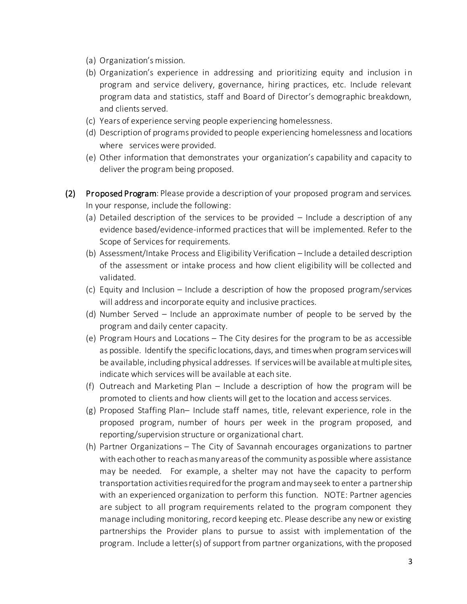- (a) Organization's mission.
- (b) Organization's experience in addressing and prioritizing equity and inclusion in program and service delivery, governance, hiring practices, etc. Include relevant program data and statistics, staff and Board of Director's demographic breakdown, and clients served.
- (c) Years of experience serving people experiencing homelessness.
- (d) Description of programs provided to people experiencing homelessness and locations where services were provided.
- (e) Other information that demonstrates your organization's capability and capacity to deliver the program being proposed.
- (2) Proposed Program: Please provide a description of your proposed program and services. In your response, include the following:
	- (a) Detailed description of the services to be provided Include a description of any evidence based/evidence-informed practices that will be implemented. Refer to the Scope of Services for requirements.
	- (b) Assessment/Intake Process and Eligibility Verification Include a detailed description of the assessment or intake process and how client eligibility will be collected and validated.
	- (c) Equity and Inclusion Include a description of how the proposed program/services will address and incorporate equity and inclusive practices.
	- (d) Number Served Include an approximate number of people to be served by the program and daily center capacity.
	- (e) Program Hours and Locations The City desires for the program to be as accessible as possible. Identify the specific locations, days, and times when program services will be available, including physical addresses. If services will be available at multiple sites, indicate which services will be available at each site.
	- (f) Outreach and Marketing Plan Include a description of how the program will be promoted to clients and how clients will get to the location and access services.
	- (g) Proposed Staffing Plan– Include staff names, title, relevant experience, role in the proposed program, number of hours per week in the program proposed, and reporting/supervision structure or organizational chart.
	- (h) Partner Organizations The City of Savannah encourages organizations to partner with each other to reach as many areas of the community as possible where assistance may be needed. For example, a shelter may not have the capacity to perform transportation activities required for the program and may seek to enter a partnership with an experienced organization to perform this function. NOTE: Partner agencies are subject to all program requirements related to the program component they manage including monitoring, record keeping etc. Please describe any new or existing partnerships the Provider plans to pursue to assist with implementation of the program. Include a letter(s) of support from partner organizations, with the proposed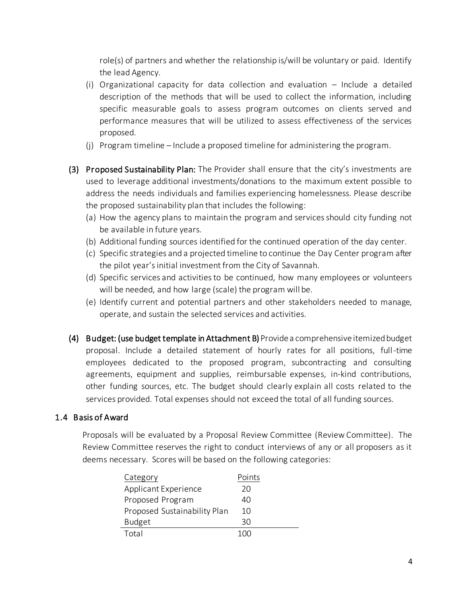role(s) of partners and whether the relationship is/will be voluntary or paid. Identify the lead Agency.

- (i) Organizational capacity for data collection and evaluation Include a detailed description of the methods that will be used to collect the information, including specific measurable goals to assess program outcomes on clients served and performance measures that will be utilized to assess effectiveness of the services proposed.
- (j) Program timeline Include a proposed timeline for administering the program.
- (3) Proposed Sustainability Plan: The Provider shall ensure that the city's investments are used to leverage additional investments/donations to the maximum extent possible to address the needs individuals and families experiencing homelessness. Please describe the proposed sustainability plan that includes the following:
	- (a) How the agency plans to maintain the program and services should city funding not be available in future years.
	- (b) Additional funding sources identified for the continued operation of the day center.
	- (c) Specific strategies and a projected timeline to continue the Day Center program after the pilot year's initial investment from the City of Savannah.
	- (d) Specific services and activities to be continued, how many employees or volunteers will be needed, and how large (scale) the program will be.
	- (e) Identify current and potential partners and other stakeholders needed to manage, operate, and sustain the selected services and activities.
- (4) Budget: (use budget template in Attachment B) Provide a comprehensive itemized budget proposal. Include a detailed statement of hourly rates for all positions, full-time employees dedicated to the proposed program, subcontracting and consulting agreements, equipment and supplies, reimbursable expenses, in-kind contributions, other funding sources, etc. The budget should clearly explain all costs related to the services provided. Total expenses should not exceed the total of all funding sources.

#### 1.4 Basis of Award

Proposals will be evaluated by a Proposal Review Committee (Review Committee). The Review Committee reserves the right to conduct interviews of any or all proposers as it deems necessary. Scores will be based on the following categories:

| Category                     | Points |
|------------------------------|--------|
| Applicant Experience         | 20     |
| Proposed Program             | 40     |
| Proposed Sustainability Plan | 10     |
| <b>Budget</b>                | 30     |
| Total                        | 100    |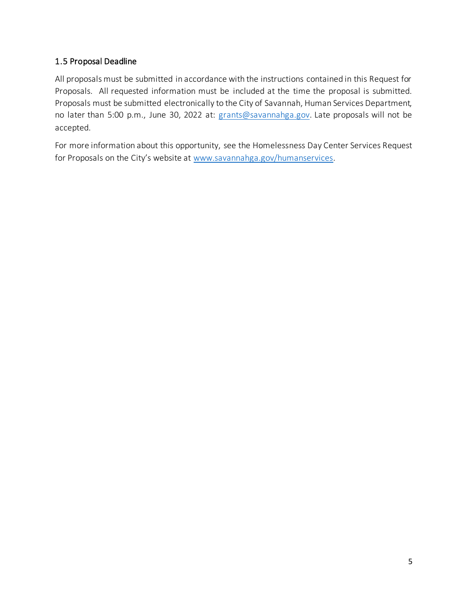# 1.5 Proposal Deadline

All proposals must be submitted in accordance with the instructions contained in this Request for Proposals. All requested information must be included at the time the proposal is submitted. Proposals must be submitted electronically to the City of Savannah, Human Services Department, no later than 5:00 p.m., June 30, 2022 at: [grants@savannahga.gov](mailto:grants@savannahga.gov). Late proposals will not be accepted.

For more information about this opportunity, see the Homelessness Day Center Services Request for Proposals on the City's website at [www.savannahga.gov/humanservices](http://www.savannahga.gov/humanservices).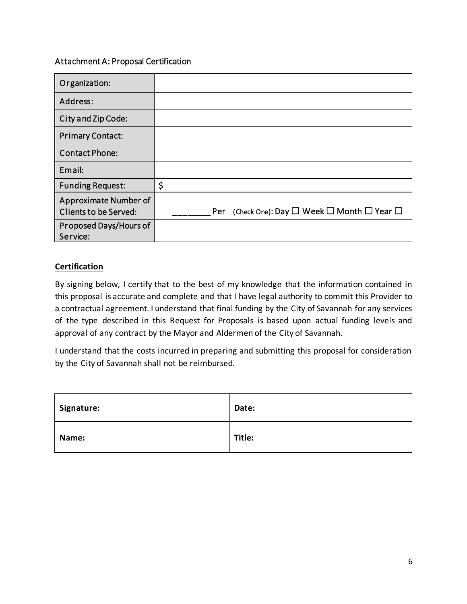#### Attachment A: Proposal Certification

| Organization:                                  |                                                                                 |
|------------------------------------------------|---------------------------------------------------------------------------------|
| Address:                                       |                                                                                 |
| City and Zip Code:                             |                                                                                 |
| <b>Primary Contact:</b>                        |                                                                                 |
| <b>Contact Phone:</b>                          |                                                                                 |
| Email:                                         |                                                                                 |
| <b>Funding Request:</b>                        | \$                                                                              |
| Approximate Number of<br>Clients to be Served: | (Check One): Day $\square$ Week $\square$ Month $\square$ Year $\square$<br>Per |
| Proposed Days/Hours of<br>Service:             |                                                                                 |

## **Certification**

By signing below, I certify that to the best of my knowledge that the information contained in this proposal is accurate and complete and that I have legal authority to commit this Provider to a contractual agreement. I understand that final funding by the City of Savannah for any services of the type described in this Request for Proposals is based upon actual funding levels and approval of any contract by the Mayor and Aldermen of the City of Savannah.

I understand that the costs incurred in preparing and submitting this proposal for consideration by the City of Savannah shall not be reimbursed.

| Signature: | Date:  |
|------------|--------|
| Name:      | Title: |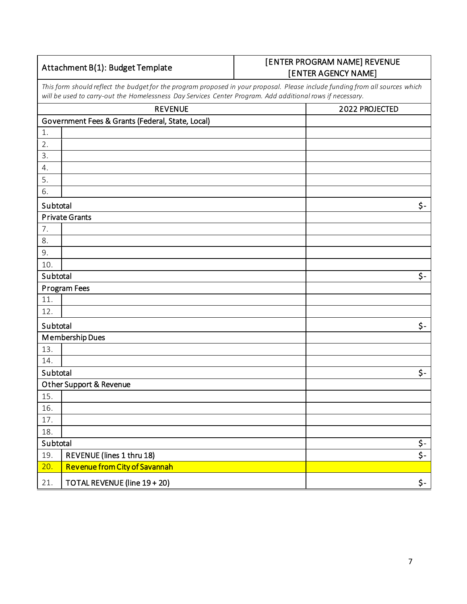## Attachment B(1): Budget Template

# [ENTER PROGRAM NAME] REVENUE [ENTER AGENCY NAME]

*This form should reflect the budget for the program proposed in your proposal. Please include funding from all sources which will be used to carry-out the Homelessness Day Services Center Program. Add additional rows if necessary.*

| <b>REVENUE</b> |                                                  | 2022 PROJECTED |
|----------------|--------------------------------------------------|----------------|
|                | Government Fees & Grants (Federal, State, Local) |                |
| 1.             |                                                  |                |
| 2.             |                                                  |                |
| 3.             |                                                  |                |
| 4.             |                                                  |                |
| 5.             |                                                  |                |
| 6.             |                                                  |                |
| Subtotal       |                                                  | \$-            |
|                | <b>Private Grants</b>                            |                |
| 7.             |                                                  |                |
| 8.             |                                                  |                |
| 9.             |                                                  |                |
| 10.            |                                                  |                |
| Subtotal       |                                                  | \$-            |
|                | Program Fees                                     |                |
| 11.            |                                                  |                |
| 12.            |                                                  |                |
| Subtotal       |                                                  | \$-            |
|                | Membership Dues                                  |                |
| 13.            |                                                  |                |
| 14.            |                                                  |                |
| Subtotal       |                                                  | \$-            |
|                | Other Support & Revenue                          |                |
| 15.            |                                                  |                |
| 16.            |                                                  |                |
| 17.            |                                                  |                |
| 18.            |                                                  |                |
| Subtotal       |                                                  | \$-<br>\$-     |
| 19.            | REVENUE (lines 1 thru 18)                        |                |
| 20.            | Revenue from City of Savannah                    |                |
| 21.            | TOTAL REVENUE (line 19 + 20)                     | \$-            |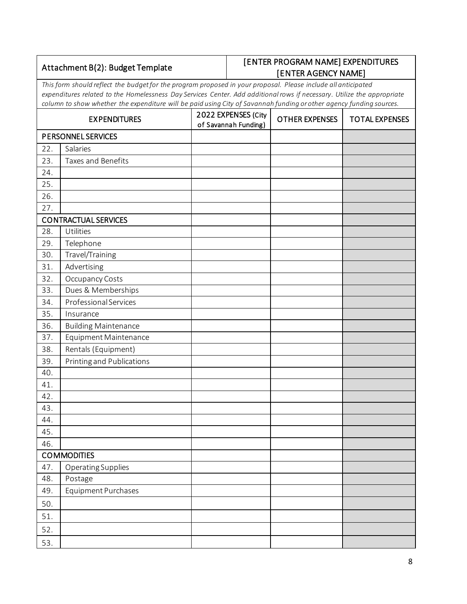| Attachment B(2): Budget Template |                                                                                                                                                                                                                                                                                                                                                                 | [ENTER PROGRAM NAME] EXPENDITURES<br>[ENTER AGENCY NAME] |                                                                      |  |                       |
|----------------------------------|-----------------------------------------------------------------------------------------------------------------------------------------------------------------------------------------------------------------------------------------------------------------------------------------------------------------------------------------------------------------|----------------------------------------------------------|----------------------------------------------------------------------|--|-----------------------|
|                                  | This form should reflect the budget for the program proposed in your proposal. Please include all anticipated<br>expenditures related to the Homelessness Day Services Center. Add additional rows if necessary. Utilize the appropriate<br>column to show whether the expenditure will be paid using City of Savannah funding or other agency funding sources. |                                                          |                                                                      |  |                       |
|                                  | <b>EXPENDITURES</b>                                                                                                                                                                                                                                                                                                                                             |                                                          | 2022 EXPENSES (City<br><b>OTHER EXPENSES</b><br>of Savannah Funding) |  | <b>TOTAL EXPENSES</b> |
|                                  | <b>PERSONNEL SERVICES</b>                                                                                                                                                                                                                                                                                                                                       |                                                          |                                                                      |  |                       |
| 22.                              | Salaries                                                                                                                                                                                                                                                                                                                                                        |                                                          |                                                                      |  |                       |
| 23.                              | Taxes and Benefits                                                                                                                                                                                                                                                                                                                                              |                                                          |                                                                      |  |                       |
| 24.                              |                                                                                                                                                                                                                                                                                                                                                                 |                                                          |                                                                      |  |                       |
| 25.                              |                                                                                                                                                                                                                                                                                                                                                                 |                                                          |                                                                      |  |                       |
| 26.                              |                                                                                                                                                                                                                                                                                                                                                                 |                                                          |                                                                      |  |                       |
| 27.                              |                                                                                                                                                                                                                                                                                                                                                                 |                                                          |                                                                      |  |                       |
|                                  | <b>CONTRACTUAL SERVICES</b>                                                                                                                                                                                                                                                                                                                                     |                                                          |                                                                      |  |                       |
| 28.                              | Utilities                                                                                                                                                                                                                                                                                                                                                       |                                                          |                                                                      |  |                       |
| 29.                              | Telephone                                                                                                                                                                                                                                                                                                                                                       |                                                          |                                                                      |  |                       |
| 30.                              | Travel/Training                                                                                                                                                                                                                                                                                                                                                 |                                                          |                                                                      |  |                       |
| 31.                              | Advertising                                                                                                                                                                                                                                                                                                                                                     |                                                          |                                                                      |  |                       |
| 32.                              | Occupancy Costs                                                                                                                                                                                                                                                                                                                                                 |                                                          |                                                                      |  |                       |
| 33.                              | Dues & Memberships                                                                                                                                                                                                                                                                                                                                              |                                                          |                                                                      |  |                       |
| 34.                              | Professional Services                                                                                                                                                                                                                                                                                                                                           |                                                          |                                                                      |  |                       |
| 35.                              | Insurance                                                                                                                                                                                                                                                                                                                                                       |                                                          |                                                                      |  |                       |
| 36.                              | <b>Building Maintenance</b>                                                                                                                                                                                                                                                                                                                                     |                                                          |                                                                      |  |                       |
| 37.                              | Equipment Maintenance                                                                                                                                                                                                                                                                                                                                           |                                                          |                                                                      |  |                       |
| 38.                              | Rentals (Equipment)                                                                                                                                                                                                                                                                                                                                             |                                                          |                                                                      |  |                       |
| 39.                              | Printing and Publications                                                                                                                                                                                                                                                                                                                                       |                                                          |                                                                      |  |                       |
| 40.                              |                                                                                                                                                                                                                                                                                                                                                                 |                                                          |                                                                      |  |                       |
| 41.                              |                                                                                                                                                                                                                                                                                                                                                                 |                                                          |                                                                      |  |                       |
| 42.                              |                                                                                                                                                                                                                                                                                                                                                                 |                                                          |                                                                      |  |                       |
| 43.                              |                                                                                                                                                                                                                                                                                                                                                                 |                                                          |                                                                      |  |                       |
| 44.                              |                                                                                                                                                                                                                                                                                                                                                                 |                                                          |                                                                      |  |                       |
| 45.                              |                                                                                                                                                                                                                                                                                                                                                                 |                                                          |                                                                      |  |                       |
| 46.                              |                                                                                                                                                                                                                                                                                                                                                                 |                                                          |                                                                      |  |                       |
|                                  | <b>COMMODITIES</b>                                                                                                                                                                                                                                                                                                                                              |                                                          |                                                                      |  |                       |
| 47.                              | Operating Supplies                                                                                                                                                                                                                                                                                                                                              |                                                          |                                                                      |  |                       |
| 48.                              | Postage                                                                                                                                                                                                                                                                                                                                                         |                                                          |                                                                      |  |                       |
| 49.                              | Equipment Purchases                                                                                                                                                                                                                                                                                                                                             |                                                          |                                                                      |  |                       |
| 50.                              |                                                                                                                                                                                                                                                                                                                                                                 |                                                          |                                                                      |  |                       |
| 51.                              |                                                                                                                                                                                                                                                                                                                                                                 |                                                          |                                                                      |  |                       |
| 52.                              |                                                                                                                                                                                                                                                                                                                                                                 |                                                          |                                                                      |  |                       |
| 53.                              |                                                                                                                                                                                                                                                                                                                                                                 |                                                          |                                                                      |  |                       |